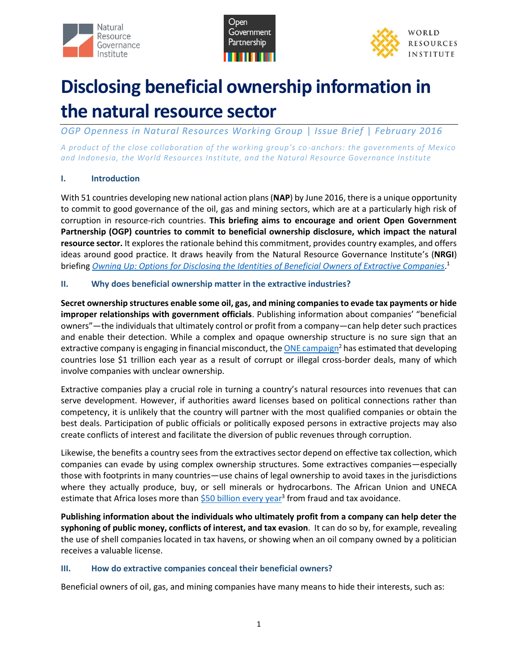





# **Disclosing beneficial ownership information in the natural resource sector**

*OGP Openness in Natural Resources Working Group* | *Issue Brief* | *February 2016*

*A product of the close collaboration of the working group's co -anchors: the governments of Mexico and Indonesia, the World Resources Institute, and the Natural Resource Governance Institute*

## **I. Introduction**

With 51 countries developing new national action plans (**NAP**) by June 2016, there is a unique opportunity to commit to good governance of the oil, gas and mining sectors, which are at a particularly high risk of corruption in resource-rich countries. **This briefing aims to encourage and orient Open Government Partnership (OGP) countries to commit to beneficial ownership disclosure, which impact the natural resource sector.** It explores the rationale behind this commitment, provides country examples, and offers ideas around good practice. It draws heavily from the Natural Resource Governance Institute's (**NRGI**) briefing *[Owning Up: Options for Disclosing the Identities of Beneficial Owners of Extractive Companies](http://www.resourcegovernance.org/sites/default/files/nrgi_Beneficial%20Owners20150820.pdf)*. 1

## **II. Why does beneficial ownership matter in the extractive industries?**

**Secret ownership structures enable some oil, gas, and mining companies to evade tax payments or hide improper relationships with government officials**. Publishing information about companies' "beneficial owners"—the individuals that ultimately control or profit from a company—can help deter such practices and enable their detection. While a complex and opaque ownership structure is no sure sign that an extractive company is engaging in financial misconduct, th[e ONE campaign](http://www.one.org/us/2014/12/05/trillion-dollar-scandal-the-biggest-heist-youve-never-heard-of/)<sup>2</sup> has estimated that developing countries lose \$1 trillion each year as a result of corrupt or illegal cross-border deals, many of which involve companies with unclear ownership.

Extractive companies play a crucial role in turning a country's natural resources into revenues that can serve development. However, if authorities award licenses based on political connections rather than competency, it is unlikely that the country will partner with the most qualified companies or obtain the best deals. Participation of public officials or politically exposed persons in extractive projects may also create conflicts of interest and facilitate the diversion of public revenues through corruption.

Likewise, the benefits a country sees from the extractives sector depend on effective tax collection, which companies can evade by using complex ownership structures. Some extractives companies—especially those with footprints in many countries—use chains of legal ownership to avoid taxes in the jurisdictions where they actually produce, buy, or sell minerals or hydrocarbons. The African Union and UNECA estimate that Africa loses more than [\\$50 billion every year](http://www.theguardian.com/global-development/2015/feb/02/africa-tax-avoidance-money-laundering-illicit-financial-flows)<sup>3</sup> from fraud and tax avoidance.

**Publishing information about the individuals who ultimately profit from a company can help deter the syphoning of public money, conflicts of interest, and tax evasion**. It can do so by, for example, revealing the use of shell companies located in tax havens, or showing when an oil company owned by a politician receives a valuable license.

## **III. How do extractive companies conceal their beneficial owners?**

Beneficial owners of oil, gas, and mining companies have many means to hide their interests, such as: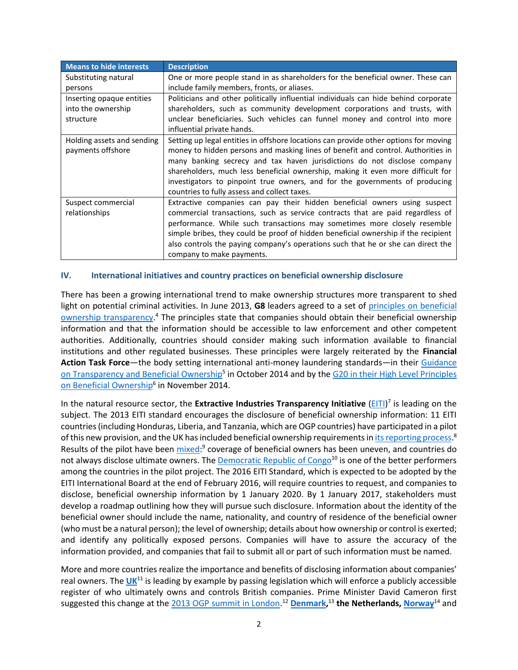| Means to hide interests    | <b>Description</b>                                                                   |  |
|----------------------------|--------------------------------------------------------------------------------------|--|
| Substituting natural       | One or more people stand in as shareholders for the beneficial owner. These can      |  |
| persons                    | include family members, fronts, or aliases.                                          |  |
| Inserting opaque entities  | Politicians and other politically influential individuals can hide behind corporate  |  |
| into the ownership         | shareholders, such as community development corporations and trusts, with            |  |
| structure                  | unclear beneficiaries. Such vehicles can funnel money and control into more          |  |
|                            | influential private hands.                                                           |  |
| Holding assets and sending | Setting up legal entities in offshore locations can provide other options for moving |  |
| payments offshore          | money to hidden persons and masking lines of benefit and control. Authorities in     |  |
|                            | many banking secrecy and tax haven jurisdictions do not disclose company             |  |
|                            | shareholders, much less beneficial ownership, making it even more difficult for      |  |
|                            | investigators to pinpoint true owners, and for the governments of producing          |  |
|                            | countries to fully assess and collect taxes.                                         |  |
| Suspect commercial         | Extractive companies can pay their hidden beneficial owners using suspect            |  |
| relationships              | commercial transactions, such as service contracts that are paid regardless of       |  |
|                            | performance. While such transactions may sometimes more closely resemble             |  |
|                            | simple bribes, they could be proof of hidden beneficial ownership if the recipient   |  |
|                            | also controls the paying company's operations such that he or she can direct the     |  |
|                            | company to make payments.                                                            |  |

#### **IV. International initiatives and country practices on beneficial ownership disclosure**

There has been a growing international trend to make ownership structures more transparent to shed light on potential criminal activities. In June 2013, **G8** leaders agreed to a set of [principles on beneficial](https://www.gov.uk/government/publications/g8-action-plan-principles-to-prevent-the-misuse-of-companies-and-legal-arrangements/g8-action-plan-principles-to-prevent-the-misuse-of-companies-and-legal-arrangements)  [ownership transparency.](https://www.gov.uk/government/publications/g8-action-plan-principles-to-prevent-the-misuse-of-companies-and-legal-arrangements/g8-action-plan-principles-to-prevent-the-misuse-of-companies-and-legal-arrangements)<sup>4</sup> The principles state that companies should obtain their beneficial ownership information and that the information should be accessible to law enforcement and other competent authorities. Additionally, countries should consider making such information available to financial institutions and other regulated businesses. These principles were largely reiterated by the **Financial**  Action Task Force-the body setting international anti-money laundering standards-in their Guidance [on Transparency and Beneficial Ownership](http://www.fatf-gafi.org/documents/news/transparency-and-beneficial-ownership.html)<sup>5</sup> in October 2014 and by the G20 in their High Level Principles [on Beneficial Ownership](http://www.opengovguide.com/standards-and-guidance/g20-high-level-principles-beneficial-ownership-transparency/)<sup>6</sup> in November 2014.

In the natural resource sector, the **Extractive Industries Transparency Initiative** [\(EITI\)](https://eiti.org/pilot-project-beneficial-ownership)<sup>7</sup> is leading on the subject. The 2013 EITI standard encourages the disclosure of beneficial ownership information: 11 EITI countries (including Honduras, Liberia, and Tanzania, which are OGP countries) have participated in a pilot of this new provision, and the UK has included beneficial ownership requirements in <u>its reporting process</u>.<sup>8</sup> Results of the pilot have been *mixed*:<sup>9</sup> coverage of beneficial owners has been uneven, and countries do not always disclose ultimate owners. The **Democratic Republic of Congo<sup>10</sup>** is one of the better performers among the countries in the pilot project. The 2016 EITI Standard, which is expected to be adopted by the EITI International Board at the end of February 2016, will require countries to request, and companies to disclose, beneficial ownership information by 1 January 2020. By 1 January 2017, stakeholders must develop a roadmap outlining how they will pursue such disclosure. Information about the identity of the beneficial owner should include the name, nationality, and country of residence of the beneficial owner (who must be a natural person); the level of ownership; details about how ownership or control is exerted; and identify any politically exposed persons. Companies will have to assure the accuracy of the information provided, and companies that fail to submit all or part of such information must be named.

More and more countries realize the importance and benefits of disclosing information about companies' real owners. The *[UK](http://www.opengovpartnership.org/country/united-kingdom/commitment/beneficial-ownership)*<sup>11</sup> is leading by example by passing legislation which will enforce a publicly accessible register of who ultimately owns and controls British companies. Prime Minister David Cameron first suggested this change at the [2013 OGP summit in London.](https://www.gov.uk/government/speeches/pm-speech-at-open-government-partnership-2013) <sup>12</sup> **[Denmark,](http://www.gfintegrity.org/press-release/gfi-praises-denmark-commitment-crack-anonymous-companies-public-registry/)** <sup>13</sup> **the Netherlands, [Norway](http://www.taxjustice.net/2015/06/05/norwegian-parliament-votes-for-public-registry-of-ownership/)**<sup>14</sup> and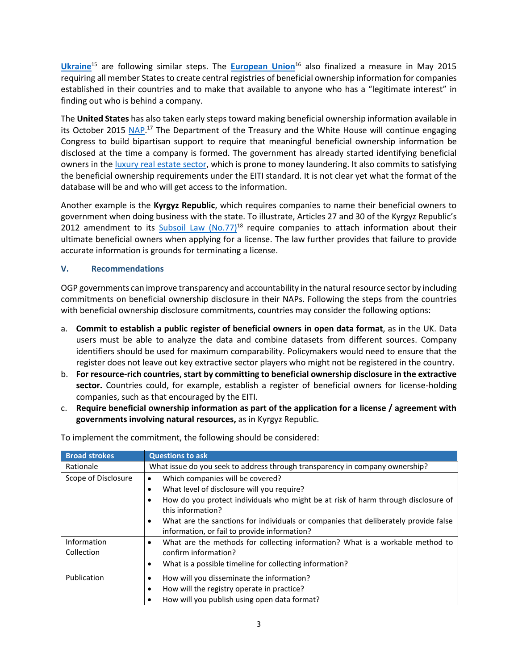**[Ukraine](http://globalcompliancenews.com/ukraine-disclosure-beneficial-ownership-required-20141027/)**<sup>15</sup> are following similar steps. The **[European Union](http://www.europarl.europa.eu/news/en/news-room/20150513IPR55319/Tougher-rules-on-money-laundering-to-fight-tax-evasion-and-terrorist-financing)**<sup>16</sup> also finalized a measure in May 2015 requiring all member States to create central registries of beneficial ownership information for companies established in their countries and to make that available to anyone who has a "legitimate interest" in finding out who is behind a company.

The **United States** has also taken early steps toward making beneficial ownership information available in its October 2015 [NAP.](https://www.whitehouse.gov/sites/default/files/microsites/ostp/final_us_open_government_national_action_plan_3_0.pdf)<sup>17</sup> The Department of the Treasury and the White House will continue engaging Congress to build bipartisan support to require that meaningful beneficial ownership information be disclosed at the time a company is formed. The government has already started identifying beneficial owners in the [luxury real estate sector,](http://www.nytimes.com/2016/01/14/us/us-will-track-secret-buyers-of-luxury-real-estate.html) which is prone to money laundering. It also commits to satisfying the beneficial ownership requirements under the EITI standard. It is not clear yet what the format of the database will be and who will get access to the information.

Another example is the **Kyrgyz Republic**, which requires companies to name their beneficial owners to government when doing business with the state. To illustrate, Articles 27 and 30 of the Kyrgyz Republic's 2012 amendment to its Subsoil Law  $(No.77)^{18}$  require companies to attach information about their ultimate beneficial owners when applying for a license. The law further provides that failure to provide accurate information is grounds for terminating a license.

## **V. Recommendations**

OGP governments can improve transparency and accountability in the natural resource sector by including commitments on beneficial ownership disclosure in their NAPs. Following the steps from the countries with beneficial ownership disclosure commitments, countries may consider the following options:

- a. **Commit to establish a public register of beneficial owners in open data format**, as in the UK. Data users must be able to analyze the data and combine datasets from different sources. Company identifiers should be used for maximum comparability. Policymakers would need to ensure that the register does not leave out key extractive sector players who might not be registered in the country.
- b. **For resource-rich countries, start by committing to beneficial ownership disclosure in the extractive sector.** Countries could, for example, establish a register of beneficial owners for license-holding companies, such as that encouraged by the EITI.
- c. **Require beneficial ownership information as part of the application for a license / agreement with governments involving natural resources,** as in Kyrgyz Republic.

| <b>Broad strokes</b> | <b>Questions to ask</b>                                                                                                                  |  |
|----------------------|------------------------------------------------------------------------------------------------------------------------------------------|--|
| Rationale            | What issue do you seek to address through transparency in company ownership?                                                             |  |
| Scope of Disclosure  | Which companies will be covered?                                                                                                         |  |
|                      | What level of disclosure will you require?<br>٠                                                                                          |  |
|                      | How do you protect individuals who might be at risk of harm through disclosure of<br>this information?                                   |  |
|                      | What are the sanctions for individuals or companies that deliberately provide false<br>٠<br>information, or fail to provide information? |  |
| Information          | What are the methods for collecting information? What is a workable method to<br>٠                                                       |  |
| Collection           | confirm information?                                                                                                                     |  |
|                      | What is a possible timeline for collecting information?<br>$\bullet$                                                                     |  |
| Publication          | How will you disseminate the information?                                                                                                |  |
|                      | How will the registry operate in practice?<br>٠                                                                                          |  |
|                      | How will you publish using open data format?                                                                                             |  |

To implement the commitment, the following should be considered: